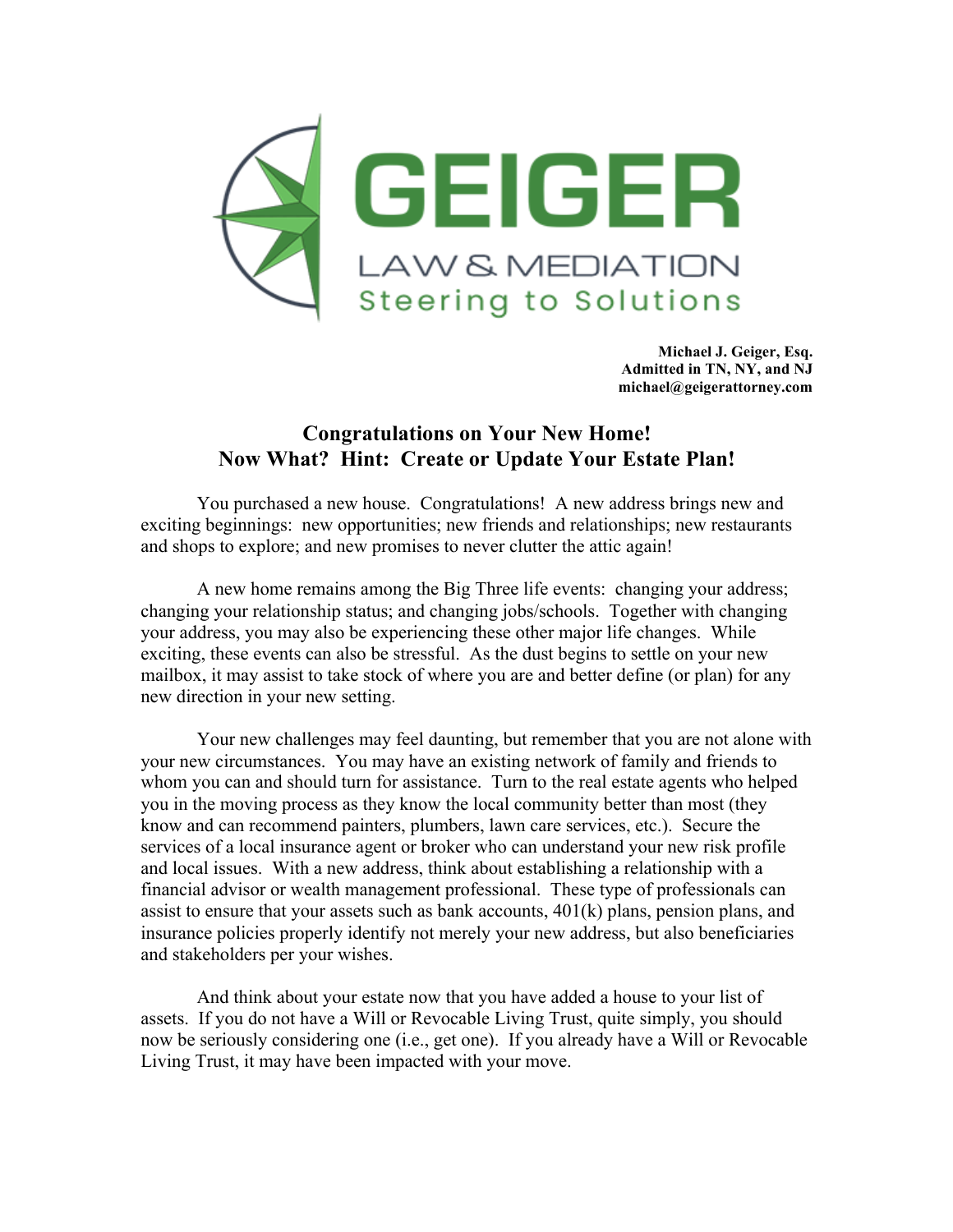

**Michael J. Geiger, Esq. Admitted in TN, NY, and NJ michael@geigerattorney.com**

## **Congratulations on Your New Home! Now What? Hint: Create or Update Your Estate Plan!**

You purchased a new house. Congratulations! A new address brings new and exciting beginnings: new opportunities; new friends and relationships; new restaurants and shops to explore; and new promises to never clutter the attic again!

A new home remains among the Big Three life events: changing your address; changing your relationship status; and changing jobs/schools. Together with changing your address, you may also be experiencing these other major life changes. While exciting, these events can also be stressful. As the dust begins to settle on your new mailbox, it may assist to take stock of where you are and better define (or plan) for any new direction in your new setting.

Your new challenges may feel daunting, but remember that you are not alone with your new circumstances. You may have an existing network of family and friends to whom you can and should turn for assistance. Turn to the real estate agents who helped you in the moving process as they know the local community better than most (they know and can recommend painters, plumbers, lawn care services, etc.). Secure the services of a local insurance agent or broker who can understand your new risk profile and local issues. With a new address, think about establishing a relationship with a financial advisor or wealth management professional. These type of professionals can assist to ensure that your assets such as bank accounts, 401(k) plans, pension plans, and insurance policies properly identify not merely your new address, but also beneficiaries and stakeholders per your wishes.

And think about your estate now that you have added a house to your list of assets. If you do not have a Will or Revocable Living Trust, quite simply, you should now be seriously considering one (i.e., get one). If you already have a Will or Revocable Living Trust, it may have been impacted with your move.